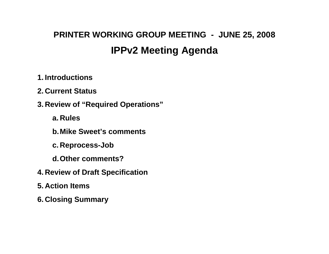## **PRINTER WORKING GROUP MEETING - JUNE 25, 2008 IPPv2 Meeting Agenda**

### **1. Introductions**

**2. Current Status** 

**3. Review of "Required Operations"** 

**a. Rules** 

**b. Mike Sweet's comments** 

**c. Reprocess-Job** 

**d. Other comments?** 

- **4. Review of Draft Specification**
- **5. Action Items**
- **6. Closing Summary**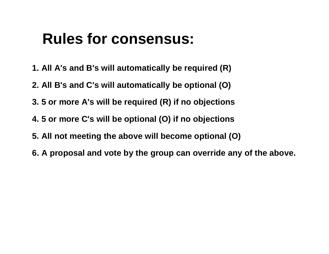# **Rules for consensus:**

- **1. All A's and B's will automatically be required (R)**
- **2. All B's and C's will automatically be optional (O)**
- **3. 5 or more A's will be required (R) if no objections**
- **4. 5 or more C's will be optional (O) if no objections**
- **5. All not meeting the above will become optional (O)**
- **6. A proposal and vote by the group can override any of the above.**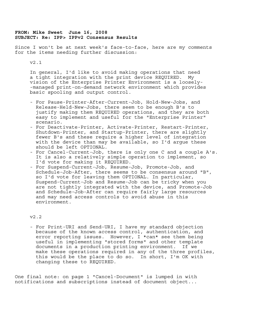#### **FROM: Mike Sweet June 16, 2008 SUBJECT: Re: IPP> IPPv2 Consensus Results**

Since I won't be at next week's face-to-face, here are my comments for the items needing further discussion:

#### v2.1

 In general, I'd like to avoid making operations that need a tight integration with the print device REQUIRED. My vision of the Enterprise Printer Environment is a loosely- -managed print-on-demand network environment which provides basic spooling and output control.

- For Pause-Printer-After-Current-Job, Hold-New-Jobs, and Release-Held-New-Jobs, there seem to be enough B's to justify making them REQUIRED operations, and they are both easy to implement and useful for the "Enterprise Printer" scenario.
- For Deactivate-Printer, Activate-Printer, Restart-Printer, Shutdown-Printer, and Startup-Printer, there are slightly fewer B's and these require a higher level of integration with the device than may be available, so I'd arque these should be left OPTIONAL.
- For Cancel-Current-Job, there is only one C and a couple A's. It is also a relatively simple operation to implement, so I'd vote for making it REQUIRED.
- For Suspend-Current-Job, Resume-Job, Promote-Job, and Schedule-Job-After, there seems to be consensus around "B", so I'd vote for leaving them OPTIONAL. In particular, Suspend-Current-Job and Resume-Job can be tricky when you are not tightly integrated with the device, and Promote-Job and Schedule-Job-After can require fairly large resources and may need access controls to avoid abuse in this environment.

#### v2.2

 - For Print-URI and Send-URI, I have my standard objection because of the known access control, authentication, and error reporting issues. However, I \*can\* see them being useful in implementing "stored forms" and other template documents in a production printing environment. If we make these operations required in any of the three profiles, this would be the place to do so. In short, I'm OK with changing these to REQUIRED.

One final note: on page 1 "Cancel-Document" is lumped in with notifications and subscriptions instead of document object...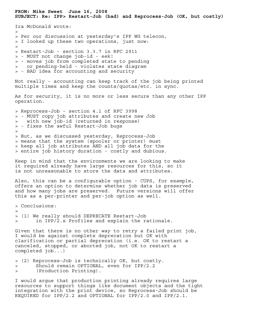**FROM: Mike Sweet June 16, 2008 SUBJECT: Re: IPP> Restart-Job (bad) and Reprocess-Job (OK, but costly)**  Ira McDonald wrote:  $>$ > Per our discussion at yesterday's IPP WG telecon, > I looked up these two operations, just now: > > Restart-Job - section 3.3.7 in RFC 2911 > - MUST not change job-id - eek! > - moves job from completed state to pending > or pending-held - violates state diagram > - BAD idea for accounting and security Not really - accounting can keep track of the job being printed multiple times and keep the counts/quotas/etc. in sync. As for security, it is no more or less secure than any other IPP operation. > Reprocess-Job - section 4.1 of RFC 3998 > - MUST copy job attributes and create new Job with new job-id (returned in response) > - fixes the awful Restart-Job bugs > > But, as we discussed yesterday, Reprocess-Job > means that the system (spooler or printer) must > keep all job attributes AND all job data for the > entire job history duration - costly and dubious. Keep in mind that the environments we are looking to make it required already have large resources for this, so it is not unreasonable to store the data and attributes. Also, this can be a configurable option - CUPS, for example, offers an option to determine whether job data is preserved and how many jobs are preserved. Future versions will offer this as a per-printer and per-job option as well. > Conclusions:  $\geq$ > (1) We really should DEPRECATE Restart-Job > in IPP/2.x Profiles and explain the rationale. Given that there is no other way to retry a failed print job, I would be against complete deprecation but OK with clarification or partial deprecation (i.e. OK to restart a canceled, stopped, or aborted job, not OK to restart a completed job...) > (2) Reprocess-Job is technically OK, but costly. > Should remain OPTIONAL, even for IPP/2.2

> (Production Printing).

I would argue that production printing already requires large resources to support things like document objects and the tight integration with the print device, so Reprocess-Job should be REQUIRED for IPP/2.2 and OPTIONAL for IPP/2.0 and IPP/2.1.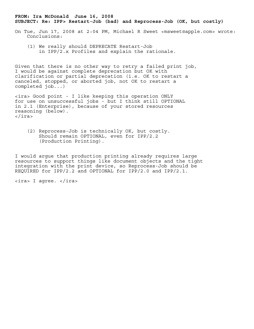#### **FROM: Ira McDonald June 16, 2008 SUBJECT: Re: IPP> Restart-Job (bad) and Reprocess-Job (OK, but costly)**

- On Tue, Jun 17, 2008 at 2:04 PM, Michael R Sweet <msweet@apple.com> wrote: Conclusions:
	- (1) We really should DEPRECATE Restart-Job in IPP/2.x Profiles and explain the rationale.

Given that there is no other way to retry a failed print job, I would be against complete deprecation but OK with clarification or partial deprecation (i.e. OK to restart a canceled, stopped, or aborted job, not OK to restart a completed job...)

<ira> Good point - I like keeping this operation ONLY for use on unsuccessful jobs - but I think still OPTIONAL in 2.1 (Enterprise), because of your stored resources reasoning (below). </ira>

 (2) Reprocess-Job is technically OK, but costly. Should remain OPTIONAL, even for IPP/2.2 (Production Printing).

I would argue that production printing already requires large resources to support things like document objects and the tight integration with the print device, so Reprocess-Job should be REQUIRED for IPP/2.2 and OPTIONAL for IPP/2.0 and IPP/2.1.

<ira> I agree. </ira>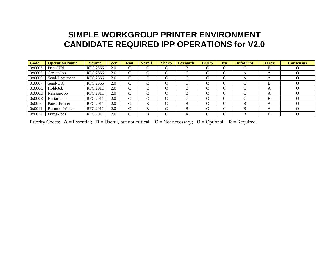## **SIMPLE WORKGROUP PRINTER ENVIRONMENT CANDIDATE REQUIRED IPP OPERATIONS for V2.0**

| <b>Code</b> | <b>Operation Name</b> | <b>Source</b>   | Ver | Ron             | <b>Novell</b> | <b>Sharp</b> | <b>Lexmark</b>    | <b>CUPS</b> | Ira                      | <b>InfoPrint</b>   | <b>Xerox</b>   | <b>Consensus</b> |
|-------------|-----------------------|-----------------|-----|-----------------|---------------|--------------|-------------------|-------------|--------------------------|--------------------|----------------|------------------|
| 0x0003      | Print-URI             | <b>RFC 2566</b> | 2.0 | C               | $\sim$        | ⌒<br>◡       | В                 | $\sqrt{ }$  | $\sim$                   |                    | В              |                  |
| 0x0005      | Create-Job            | <b>RFC 2566</b> | 2.0 | $\sqrt{ }$<br>◟ | ⌒             | $\sim$<br>◡  |                   |             | $\sim$                   | $\sqrt{ }$         | $\Delta$       | $\left( \right)$ |
| 0x0006      | Send-Document         | <b>RFC 2566</b> | 2.0 | C               | $\sim$        | $\sim$       |                   | $\sqrt{ }$  | $\sim$<br>v.             |                    | $\Delta$       | $\left( \right)$ |
| 0x0007      | Send-URI              | RFC 2566        | 2.0 | $\sqrt{ }$<br>◡ | ⌒             |              |                   | $\sqrt{ }$  | ⌒                        |                    | D              |                  |
| 0x000C      | Hold-Job              | <b>RFC 2911</b> | 2.0 | $\sqrt{ }$      | ⌒             | $\sqrt{ }$   | в                 |             | $\overline{\phantom{1}}$ |                    | $\overline{A}$ |                  |
| 0x000D      | Release-Job           | <b>RFC 2911</b> | 2.0 | $\Gamma$<br>◡   | $\sim$        | $\sim$       | B                 | $\sqrt{ }$  | $\sim$                   |                    | A              |                  |
| 0x000E      | Restart-Job           | <b>RFC 2911</b> | 2.0 | C               | $\sim$        | ⌒            | $\mathsf{\Gamma}$ | $\sqrt{ }$  | ⌒<br>U                   | $\curvearrowright$ | B              |                  |
| 0x0010      | Pause-Printer         | <b>RFC 2911</b> | 2.0 | C               | B             | $\sim$<br>U. | R                 | $\sqrt{ }$  | $\sim$                   | B                  | $\overline{A}$ | $\bigcap$        |
| 0x0011      | Resume-Printer        | <b>RFC 2911</b> | 2.0 | C               | B             | ⌒            | R                 | $\sqrt{ }$  | ⌒                        | R                  |                |                  |
| 0x0012      | Purge-Jobs            | <b>RFC 2911</b> | 2.0 | $\sqrt{ }$      | в             | ⌒            |                   | $\sqrt{ }$  | ⌒                        | B                  | R              |                  |

Priority Codes:  $A = E$ ssential;  $B = U$ seful, but not critical;  $C = Not$  necessary;  $O = Optional$ ;  $R = Required$ .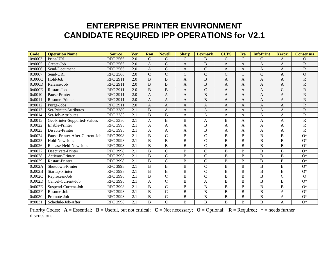## **ENTERPRISE PRINTER ENVIRONMENT CANDIDATE REQUIRED IPP OPERATIONS for V2.1**

| <b>Code</b> | <b>Operation Name</b>           | <b>Source</b>   | <b>Ver</b> | Ron            | <b>Novell</b>  | <b>Sharp</b>   | <b>Lexmark</b> | <b>CUPS</b>    | Ira            | <b>InfoPrint</b> | <b>Xerox</b> | <b>Consensus</b> |
|-------------|---------------------------------|-----------------|------------|----------------|----------------|----------------|----------------|----------------|----------------|------------------|--------------|------------------|
| 0x0003      | Print-URI                       | <b>RFC 2566</b> | 2.0        | $\mathsf{C}$   | $\mathsf{C}$   | $\mathcal{C}$  | B              | $\mathcal{C}$  | $\mathbf C$    | $\mathsf{C}$     | A            | $\overline{O}$   |
| 0x0005      | Create-Job                      | <b>RFC 2566</b> | 2.0        | A              | $\mathsf{C}$   | A              | B              | A              | A              | A                | A            | $\mathbf R$      |
| 0x0006      | Send-Document                   | <b>RFC 2566</b> | 2.0        | A              | $\overline{C}$ | $\overline{A}$ | $\mathcal{C}$  | A              | A              | A                | $\mathbf{A}$ | R                |
| 0x0007      | Send-URI                        | <b>RFC 2566</b> | 2.0        | $\mathsf{C}$   | ${\bf C}$      | $\mathcal{C}$  | $\mathcal{C}$  | $\overline{C}$ | $\mathcal{C}$  | $\mathsf{C}$     | A            | $\overline{O}$   |
| 0x000C      | Hold-Job                        | <b>RFC 2911</b> | 2.0        | $\overline{B}$ | B              | $\mathbf{A}$   | $\overline{B}$ | A              | $\overline{A}$ | A                | $\mathbf{A}$ | R                |
| 0x000D      | Release-Job                     | <b>RFC 2911</b> | 2.0        | $\bf{B}$       | $\bf{B}$       | A              | $\mathbf B$    | A              | A              | A                | A            | ${\bf R}$        |
| 0x000E      | Restart-Job                     | <b>RFC 2911</b> | 2.0        | B              | $\overline{B}$ | $\mathbf{A}$   | $\mathcal{C}$  | A              | A              | A                | $\mathsf{C}$ | R                |
| 0x0010      | Pause-Printer                   | <b>RFC 2911</b> | 2.0        | A              | $\mathbf{A}$   | $\mathbf{A}$   | $\overline{B}$ | A              | A              | A                | A            | $\mathbf R$      |
| 0x0011      | Resume-Printer                  | <b>RFC 2911</b> | 2.0        | $\overline{A}$ | $\mathbf{A}$   | A              | $\overline{B}$ | A              | $\overline{A}$ | $\mathbf{A}$     | $\mathbf{A}$ | $\overline{R}$   |
| 0x0012      | Purge-Jobs                      | <b>RFC 2911</b> | 2.0        | A              | $\mathbf{A}$   | $\mathbf{A}$   | A              | A              | A              | A                | $\mathbf{A}$ | $\mathbf R$      |
| 0x0013      | Set-Printer-Attributes          | <b>RFC 3380</b> | 2.1        | B              | $\mathbf{A}$   | $\mathbf{A}$   | $\overline{A}$ | A              | $\mathbf{A}$   | $\mathbf{A}$     | $\mathbf{A}$ | $\overline{R}$   |
| 0x0014      | Set-Job-Attributes              | <b>RFC 3380</b> | 2.1        | B              | $\, {\bf B}$   | $\overline{A}$ | A              | A              | A              | A                | A            | $\mathbf R$      |
| 0x0015      | Get-Printer-Supported-Values    | <b>RFC 3380</b> | 2.1        | A              | B              | $\mathbf B$    | A              | B              | A              | A                | A            | R                |
| 0x0022      | Enable-Printer                  | <b>RFC 3998</b> | 2.1        | $\mathbf{A}$   | $\mathbf{A}$   | $\overline{A}$ | $\overline{B}$ | A              | $\mathbf{A}$   | A                | $\mathbf{A}$ | $\mathbf R$      |
| 0x0023      | Disable-Printer                 | <b>RFC 3998</b> | 2.1        | A              | A              | A              | $\overline{B}$ | A              | A              | A                | A            | $\mathbf R$      |
| 0x0024      | Pause-Printer-After-Current-Job | <b>RFC 3998</b> | 2.1        | B              | $\mathbf C$    | B              | $\mathbf C$    | B              | B              | B                | B            | $O^*$            |
| 0x0025      | Hold-New-Jobs                   | <b>RFC 3998</b> | 2.1        | B              | B              | $\mathbf B$    | $\mathbf C$    | B              | B              | $\bf{B}$         | B            | $O^*$            |
| 0x0026      | Release-Held-New-Jobs           | <b>RFC 3998</b> | 2.1        | B              | $\overline{B}$ | $\mathbf B$    | $\overline{C}$ | B              | B              | $\, {\bf B}$     | $\, {\bf B}$ | $O^*$            |
| 0x0027      | Deactivate-Printer              | <b>RFC 3998</b> | 2.1        | B              | $\mathsf{C}$   | B              | $\mathbf C$    | B              | B              | B                | B            | $O^*$            |
| 0x0028      | Activate-Printer                | <b>RFC 3998</b> | 2.1        | B              | $\overline{C}$ | $\mathbf B$    | $\mathcal{C}$  | B              | B              | $\bf{B}$         | B            | $O^*$            |
| 0x0029      | Restart-Printer                 | <b>RFC 3998</b> | 2.1        | B              | $\overline{C}$ | $\mathbf B$    | $\overline{C}$ | B              | B              | B                | B            | $O^*$            |
| 0x002A      | Shutdown-Printer                | <b>RFC 3998</b> | 2.1        | B              | $\, {\bf B}$   | B              | $\mathcal{C}$  | B              | B              | $\bf{B}$         | B            | $O^*$            |
| 0x002B      | Startup-Printer                 | <b>RFC 3998</b> | 2.1        | B              | $\, {\bf B}$   | $\mathbf B$    | $\mathcal{C}$  | B              | B              | $\, {\bf B}$     | B            | $O^*$            |
| 0x002C      | Reprocess-Job                   | <b>RFC 3998</b> | 2.1        | B              | $\mathcal{C}$  | $\mathbf B$    | $\mathcal{C}$  | B              | $\, {\bf B}$   | $\overline{B}$   | $\mathsf{C}$ | $\Omega$         |
| 0x002D      | Cancel-Current-Job              | <b>RFC 3998</b> | 2.1        | A              | $\mathcal{C}$  | $\mathbf B$    | A              | B              | B              | B                | B            | $O^*$            |
| 0x002E      | Suspend-Current-Job             | <b>RFC 3998</b> | 2.1        | B              | $\mathcal{C}$  | $\, {\bf B}$   | $\overline{B}$ | B              | $\mathbf B$    | $\overline{B}$   | B            | $O^*$            |
| 0x002F      | Resume-Job                      | <b>RFC 3998</b> | 2.1        | $\overline{B}$ | $\mathcal{C}$  | $\overline{B}$ | $\overline{B}$ | $\mathbf B$    | $\overline{B}$ | $\, {\bf B}$     | A            | $O^*$            |
| 0x0030      | Promote-Job                     | <b>RFC 3998</b> | 2.1        | $\, {\bf B}$   | $\mathcal{C}$  | $\overline{B}$ | $\overline{B}$ | $\overline{B}$ | $\overline{B}$ | $\, {\bf B}$     | A            | $O^*$            |
| 0x0031      | Schedule-Job-After              | <b>RFC 3998</b> | 2.1        | B              | $\overline{C}$ | B              | $\overline{B}$ | B              | B              | B                | A            | $O^*$            |

Priority Codes:  $A = E$ ssential;  $B = U$ seful, but not critical;  $C = Not$  necessary;  $O = Optional$ ;  $R = Required$ ;  $* = needs$  further discussion.